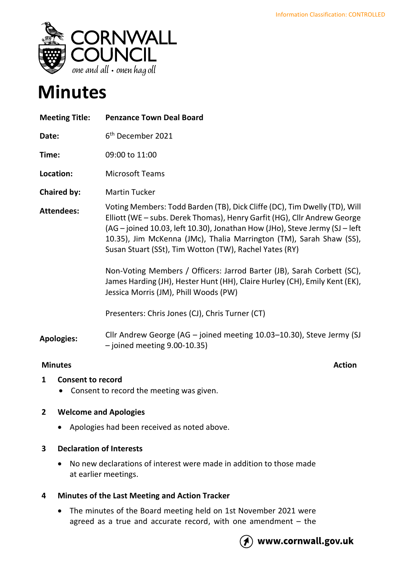

# **Minutes**

| <b>Meeting Title:</b> | <b>Penzance Town Deal Board</b>                                                                                                                                                                                                                                                                                                                                                                                                                 |
|-----------------------|-------------------------------------------------------------------------------------------------------------------------------------------------------------------------------------------------------------------------------------------------------------------------------------------------------------------------------------------------------------------------------------------------------------------------------------------------|
| Date:                 | 6 <sup>th</sup> December 2021                                                                                                                                                                                                                                                                                                                                                                                                                   |
| Time:                 | 09:00 to 11:00                                                                                                                                                                                                                                                                                                                                                                                                                                  |
| Location:             | <b>Microsoft Teams</b>                                                                                                                                                                                                                                                                                                                                                                                                                          |
| <b>Chaired by:</b>    | <b>Martin Tucker</b>                                                                                                                                                                                                                                                                                                                                                                                                                            |
| <b>Attendees:</b>     | Voting Members: Todd Barden (TB), Dick Cliffe (DC), Tim Dwelly (TD), Will<br>Elliott (WE - subs. Derek Thomas), Henry Garfit (HG), Cllr Andrew George<br>(AG – joined 10.03, left 10.30), Jonathan How (JHo), Steve Jermy (SJ – left<br>10.35), Jim McKenna (JMc), Thalia Marrington (TM), Sarah Shaw (SS),<br>Susan Stuart (SSt), Tim Wotton (TW), Rachel Yates (RY)<br>Non-Voting Members / Officers: Jarrod Barter (JB), Sarah Corbett (SC), |
|                       | James Harding (JH), Hester Hunt (HH), Claire Hurley (CH), Emily Kent (EK),<br>Jessica Morris (JM), Phill Woods (PW)                                                                                                                                                                                                                                                                                                                             |
|                       | Presenters: Chris Jones (CJ), Chris Turner (CT)                                                                                                                                                                                                                                                                                                                                                                                                 |
| <b>Apologies:</b>     | Cllr Andrew George (AG - joined meeting 10.03-10.30), Steve Jermy (SJ<br>$-$ joined meeting 9.00-10.35)                                                                                                                                                                                                                                                                                                                                         |

#### **Minutes** Action

- **1 Consent to record**
	- Consent to record the meeting was given.

### **2 Welcome and Apologies**

• Apologies had been received as noted above.

### **3 Declaration of Interests**

• No new declarations of interest were made in addition to those made at earlier meetings.

### **4 Minutes of the Last Meeting and Action Tracker**

• The minutes of the Board meeting held on 1st November 2021 were agreed as a true and accurate record, with one amendment  $-$  the



## www.cornwall.gov.uk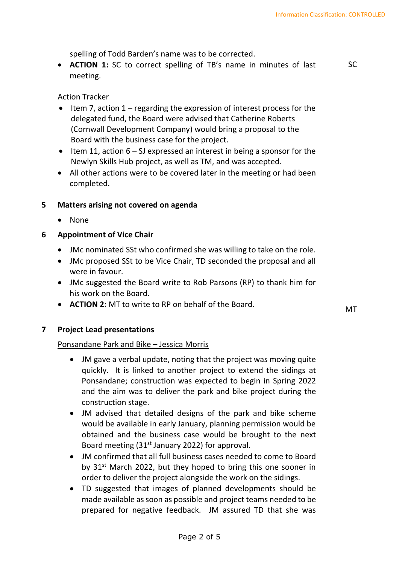spelling of Todd Barden's name was to be corrected.

• **ACTION 1:** SC to correct spelling of TB's name in minutes of last meeting.

SC

Action Tracker

- Item 7, action 1 regarding the expression of interest process for the delegated fund, the Board were advised that Catherine Roberts (Cornwall Development Company) would bring a proposal to the Board with the business case for the project.
- Item 11, action  $6 SI$  expressed an interest in being a sponsor for the Newlyn Skills Hub project, as well as TM, and was accepted.
- All other actions were to be covered later in the meeting or had been completed.

### **5 Matters arising not covered on agenda**

• None

### **6 Appointment of Vice Chair**

- JMc nominated SSt who confirmed she was willing to take on the role.
- JMc proposed SSt to be Vice Chair, TD seconded the proposal and all were in favour.
- JMc suggested the Board write to Rob Parsons (RP) to thank him for his work on the Board.
- **ACTION 2:** MT to write to RP on behalf of the Board. MT

**7 Project Lead presentations**

### Ponsandane Park and Bike – Jessica Morris

- JM gave a verbal update, noting that the project was moving quite quickly. It is linked to another project to extend the sidings at Ponsandane; construction was expected to begin in Spring 2022 and the aim was to deliver the park and bike project during the construction stage.
- JM advised that detailed designs of the park and bike scheme would be available in early January, planning permission would be obtained and the business case would be brought to the next Board meeting  $(31<sup>st</sup>$  January 2022) for approval.
- JM confirmed that all full business cases needed to come to Board by 31<sup>st</sup> March 2022, but they hoped to bring this one sooner in order to deliver the project alongside the work on the sidings.
- TD suggested that images of planned developments should be made available as soon as possible and project teams needed to be prepared for negative feedback. JM assured TD that she was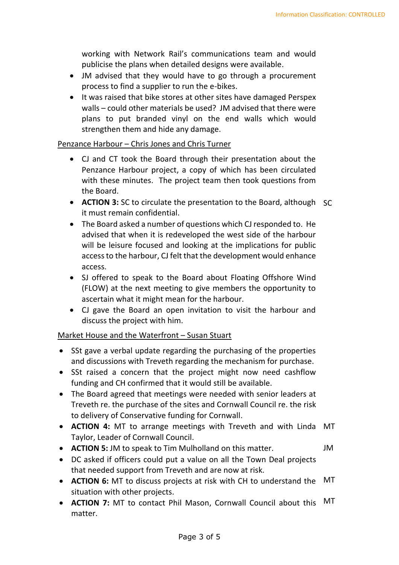working with Network Rail's communications team and would publicise the plans when detailed designs were available.

- JM advised that they would have to go through a procurement process to find a supplier to run the e-bikes.
- It was raised that bike stores at other sites have damaged Perspex walls – could other materials be used? JM advised that there were plans to put branded vinyl on the end walls which would strengthen them and hide any damage.

#### Penzance Harbour – Chris Jones and Chris Turner

- CJ and CT took the Board through their presentation about the Penzance Harbour project, a copy of which has been circulated with these minutes. The project team then took questions from the Board.
- **ACTION 3:** SC to circulate the presentation to the Board, although SC it must remain confidential.
- The Board asked a number of questions which CJ responded to. He advised that when it is redeveloped the west side of the harbour will be leisure focused and looking at the implications for public access to the harbour, CJ felt that the development would enhance access.
- SJ offered to speak to the Board about Floating Offshore Wind (FLOW) at the next meeting to give members the opportunity to ascertain what it might mean for the harbour.
- CJ gave the Board an open invitation to visit the harbour and discuss the project with him.

### Market House and the Waterfront – Susan Stuart

- SSt gave a verbal update regarding the purchasing of the properties and discussions with Treveth regarding the mechanism for purchase.
- SSt raised a concern that the project might now need cashflow funding and CH confirmed that it would still be available.
- The Board agreed that meetings were needed with senior leaders at Treveth re. the purchase of the sites and Cornwall Council re. the risk to delivery of Conservative funding for Cornwall.
- **ACTION 4:** MT to arrange meetings with Treveth and with Linda MT Taylor, Leader of Cornwall Council.
- **ACTION 5:** JM to speak to Tim Mulholland on this matter. JM
- DC asked if officers could put a value on all the Town Deal projects that needed support from Treveth and are now at risk.
- **ACTION 6:** MT to discuss projects at risk with CH to understand the situation with other projects. MT
- **ACTION 7:** MT to contact Phil Mason, Cornwall Council about this matter. MT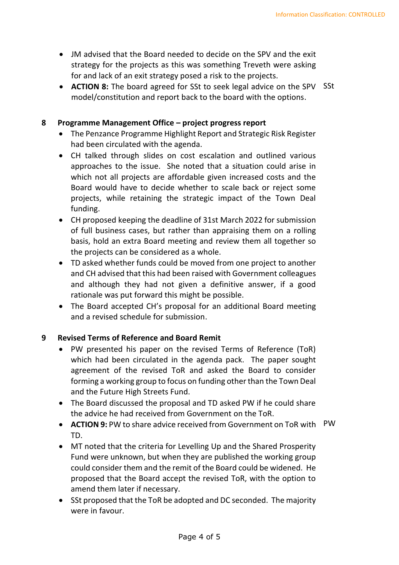- JM advised that the Board needed to decide on the SPV and the exit strategy for the projects as this was something Treveth were asking for and lack of an exit strategy posed a risk to the projects.
- **ACTION 8:** The board agreed for SSt to seek legal advice on the SPV SSt model/constitution and report back to the board with the options.

#### **8 Programme Management Office – project progress report**

- The Penzance Programme Highlight Report and Strategic Risk Register had been circulated with the agenda.
- CH talked through slides on cost escalation and outlined various approaches to the issue. She noted that a situation could arise in which not all projects are affordable given increased costs and the Board would have to decide whether to scale back or reject some projects, while retaining the strategic impact of the Town Deal funding.
- CH proposed keeping the deadline of 31st March 2022 for submission of full business cases, but rather than appraising them on a rolling basis, hold an extra Board meeting and review them all together so the projects can be considered as a whole.
- TD asked whether funds could be moved from one project to another and CH advised that this had been raised with Government colleagues and although they had not given a definitive answer, if a good rationale was put forward this might be possible.
- The Board accepted CH's proposal for an additional Board meeting and a revised schedule for submission.

### **9 Revised Terms of Reference and Board Remit**

- PW presented his paper on the revised Terms of Reference (ToR) which had been circulated in the agenda pack. The paper sought agreement of the revised ToR and asked the Board to consider forming a working group to focus on funding other than the Town Deal and the Future High Streets Fund.
- The Board discussed the proposal and TD asked PW if he could share the advice he had received from Government on the ToR.
- **ACTION 9:** PW to share advice received from Government on ToR with PWTD.
- MT noted that the criteria for Levelling Up and the Shared Prosperity Fund were unknown, but when they are published the working group could consider them and the remit of the Board could be widened. He proposed that the Board accept the revised ToR, with the option to amend them later if necessary.
- SSt proposed that the ToR be adopted and DC seconded. The majority were in favour.